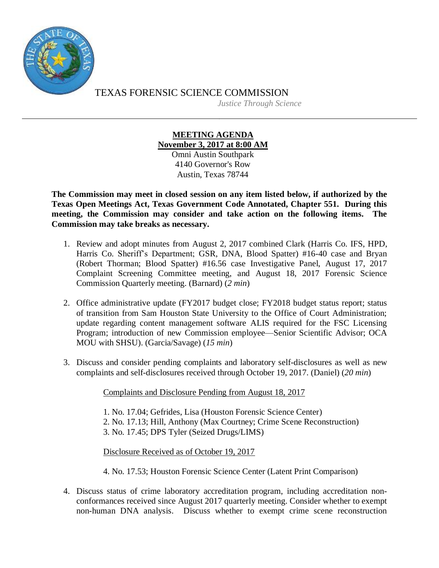

TEXAS FORENSIC SCIENCE COMMISSION *Justice Through Science*

## **MEETING AGENDA November 3, 2017 at 8:00 AM**

Omni Austin Southpark 4140 Governor's Row Austin, Texas 78744

**The Commission may meet in closed session on any item listed below, if authorized by the Texas Open Meetings Act, Texas Government Code Annotated, Chapter 551. During this meeting, the Commission may consider and take action on the following items. The Commission may take breaks as necessary.**

- 1. Review and adopt minutes from August 2, 2017 combined Clark (Harris Co. IFS, HPD, Harris Co. Sheriff's Department; GSR, DNA, Blood Spatter) #16-40 case and Bryan (Robert Thorman; Blood Spatter) #16.56 case Investigative Panel, August 17, 2017 Complaint Screening Committee meeting, and August 18, 2017 Forensic Science Commission Quarterly meeting. (Barnard) (*2 min*)
- 2. Office administrative update (FY2017 budget close; FY2018 budget status report; status of transition from Sam Houston State University to the Office of Court Administration; update regarding content management software ALIS required for the FSC Licensing Program; introduction of new Commission employee—Senior Scientific Advisor; OCA MOU with SHSU). (Garcia/Savage) (*15 min*)
- 3. Discuss and consider pending complaints and laboratory self-disclosures as well as new complaints and self-disclosures received through October 19, 2017. (Daniel) (*20 min*)

Complaints and Disclosure Pending from August 18, 2017

1. No. 17.04; Gefrides, Lisa (Houston Forensic Science Center)

- 2. No. 17.13; Hill, Anthony (Max Courtney; Crime Scene Reconstruction)
- 3. No. 17.45; DPS Tyler (Seized Drugs/LIMS)

Disclosure Received as of October 19, 2017

4. No. 17.53; Houston Forensic Science Center (Latent Print Comparison)

4. Discuss status of crime laboratory accreditation program, including accreditation nonconformances received since August 2017 quarterly meeting. Consider whether to exempt non-human DNA analysis. Discuss whether to exempt crime scene reconstruction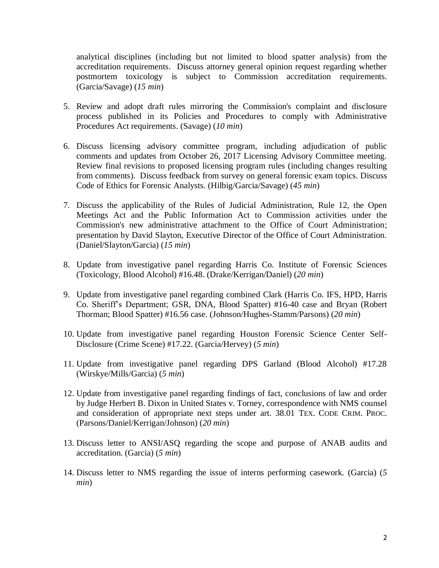analytical disciplines (including but not limited to blood spatter analysis) from the accreditation requirements. Discuss attorney general opinion request regarding whether postmortem toxicology is subject to Commission accreditation requirements. (Garcia/Savage) (*15 min*)

- 5. Review and adopt draft rules mirroring the Commission's complaint and disclosure process published in its Policies and Procedures to comply with Administrative Procedures Act requirements. (Savage) (*10 min*)
- 6. Discuss licensing advisory committee program, including adjudication of public comments and updates from October 26, 2017 Licensing Advisory Committee meeting. Review final revisions to proposed licensing program rules (including changes resulting from comments). Discuss feedback from survey on general forensic exam topics. Discuss Code of Ethics for Forensic Analysts. (Hilbig/Garcia/Savage) (*45 min*)
- 7. Discuss the applicability of the Rules of Judicial Administration, Rule 12, the Open Meetings Act and the Public Information Act to Commission activities under the Commission's new administrative attachment to the Office of Court Administration; presentation by David Slayton, Executive Director of the Office of Court Administration. (Daniel/Slayton/Garcia) (*15 min*)
- 8. Update from investigative panel regarding Harris Co. Institute of Forensic Sciences (Toxicology, Blood Alcohol) #16.48. (Drake/Kerrigan/Daniel) (*20 min*)
- 9. Update from investigative panel regarding combined Clark (Harris Co. IFS, HPD, Harris Co. Sheriff's Department; GSR, DNA, Blood Spatter) #16-40 case and Bryan (Robert Thorman; Blood Spatter) #16.56 case. (Johnson/Hughes-Stamm/Parsons) (*20 min*)
- 10. Update from investigative panel regarding Houston Forensic Science Center Self-Disclosure (Crime Scene) #17.22. (Garcia/Hervey) (*5 min*)
- 11. Update from investigative panel regarding DPS Garland (Blood Alcohol) #17.28 (Wirskye/Mills/Garcia) (*5 min*)
- 12. Update from investigative panel regarding findings of fact, conclusions of law and order by Judge Herbert B. Dixon in United States v. Torney, correspondence with NMS counsel and consideration of appropriate next steps under art. 38.01 TEX. CODE CRIM. PROC. (Parsons/Daniel/Kerrigan/Johnson) (*20 min*)
- 13. Discuss letter to ANSI/ASQ regarding the scope and purpose of ANAB audits and accreditation. (Garcia) (*5 min*)
- 14. Discuss letter to NMS regarding the issue of interns performing casework. (Garcia) (*5 min*)